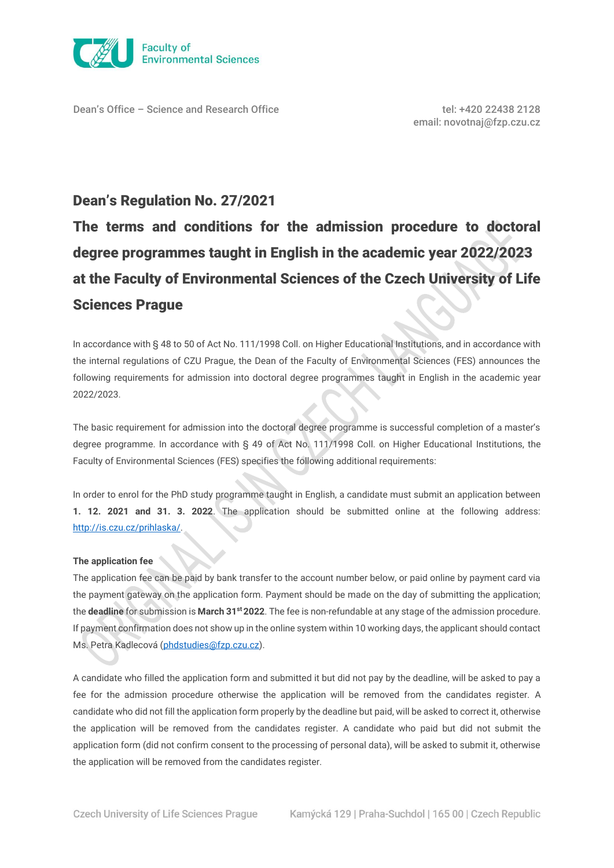

Dean's Office – Science and Research Office tel: +420 22438 2128

# Dean's Regulation No. 27/2021

The terms and conditions for the admission procedure to doctoral degree programmes taught in English in the academic year 2022/2023 at the Faculty of Environmental Sciences of the Czech University of Life Sciences Prague

In accordance with § 48 to 50 of Act No. 111/1998 Coll. on Higher Educational Institutions, and in accordance with the internal regulations of CZU Prague, the Dean of the Faculty of Environmental Sciences (FES) announces the following requirements for admission into doctoral degree programmes taught in English in the academic year 2022/2023.

The basic requirement for admission into the doctoral degree programme is successful completion of a master's degree programme. In accordance with § 49 of Act No. 111/1998 Coll. on Higher Educational Institutions, the Faculty of Environmental Sciences (FES) specifies the following additional requirements:

In order to enrol for the PhD study programme taught in English, a candidate must submit an application between **1. 12. 2021 and 31. 3. 2022**. The application should be submitted online at the following address: [http://is.czu.cz/prihlaska/.](http://is.czu.cz/prihlaska/)

## **The application fee**

The application fee can be paid by bank transfer to the account number below, or paid online by payment card via the payment gateway on the application form. Payment should be made on the day of submitting the application; the **deadline** for submission is **March 31st 2022**. The fee is non-refundable at any stage of the admission procedure. If payment confirmation does not show up in the online system within 10 working days, the applicant should contact Ms. Petra Kadlecová ([phdstudies@fzp.czu.cz\)](mailto:phdstudies@fzp.czu.cz).

A candidate who filled the application form and submitted it but did not pay by the deadline, will be asked to pay a fee for the admission procedure otherwise the application will be removed from the candidates register. A candidate who did not fill the application form properly by the deadline but paid, will be asked to correct it, otherwise the application will be removed from the candidates register. A candidate who paid but did not submit the application form (did not confirm consent to the processing of personal data), will be asked to submit it, otherwise the application will be removed from the candidates register.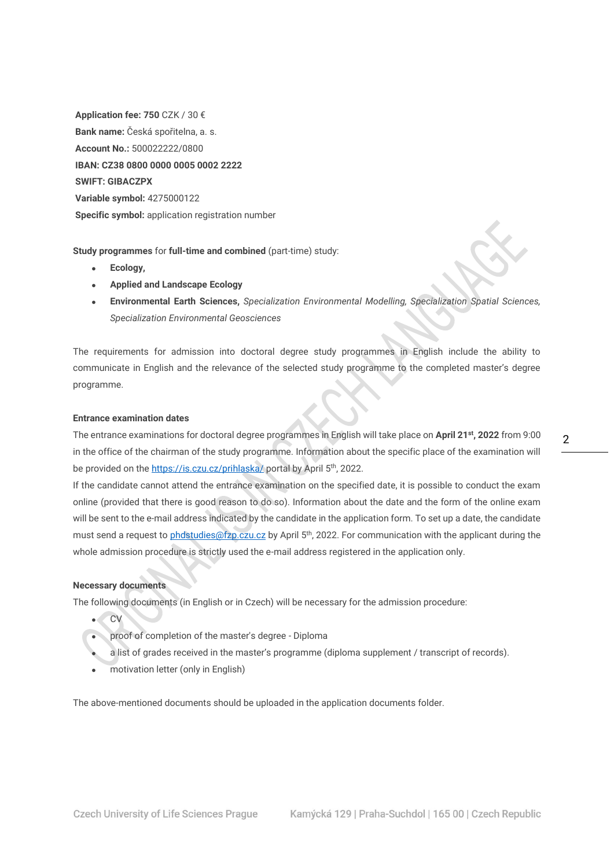**Application fee: 750** CZK / 30 € **Bank name:** Česká spořitelna, a. s. **Account No.:** 500022222/0800 **IBAN: CZ38 0800 0000 0005 0002 2222 SWIFT: GIBACZPX Variable symbol:** 4275000122 **Specific symbol:** application registration number

**Study programmes** for **full-time and combined** (part-time) study:

- **Ecology,**
- **Applied and Landscape Ecology**
- **Environmental Earth Sciences,** *Specialization Environmental Modelling, Specialization Spatial Sciences, Specialization Environmental Geosciences*

The requirements for admission into doctoral degree study programmes in English include the ability to communicate in English and the relevance of the selected study programme to the completed master's degree programme.

### **Entrance examination dates**

The entrance examinations for doctoral degree programmes in English will take place on **April 21st, 2022** from 9:00 in the office of the chairman of the study programme. Information about the specific place of the examination will be provided on the<https://is.czu.cz/prihlaska/> portal by April 5<sup>th</sup>, 2022.

If the candidate cannot attend the entrance examination on the specified date, it is possible to conduct the exam online (provided that there is good reason to do so). Information about the date and the form of the online exam will be sent to the e-mail address indicated by the candidate in the application form. To set up a date, the candidate must send a request to [phdstudies@fzp.czu.cz](mailto:phdstudies@fzp.czu.cz) by April 5<sup>th</sup>, 2022. For communication with the applicant during the whole admission procedure is strictly used the e-mail address registered in the application only.

### **Necessary documents**

The following documents (in English or in Czech) will be necessary for the admission procedure:

- CV
- proof of completion of the master's degree Diploma
- a list of grades received in the master's programme (diploma supplement / transcript of records).
- motivation letter (only in English)

The above-mentioned documents should be uploaded in the application documents folder.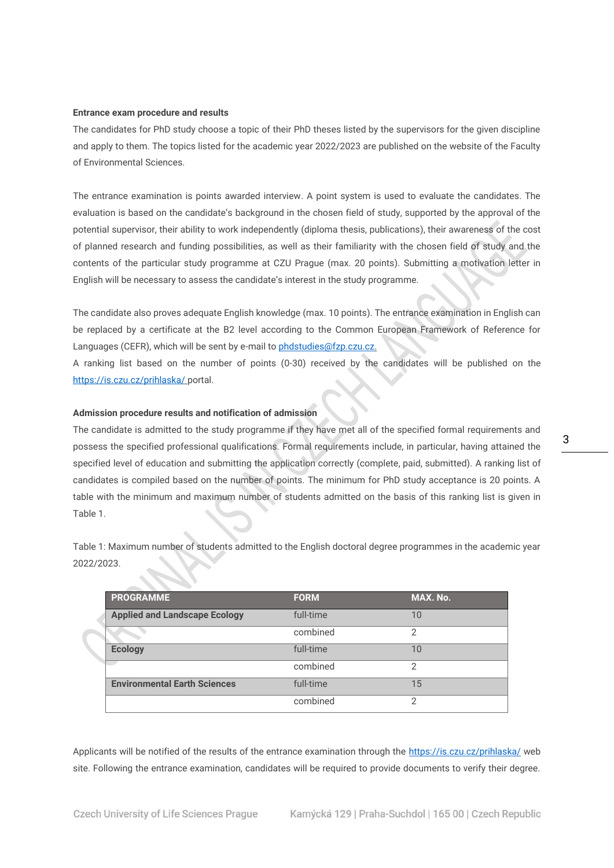#### **Entrance exam procedure and results**

The candidates for PhD study choose a topic of their PhD theses listed by the supervisors for the given discipline and apply to them. The topics listed for the academic year 2022/2023 are published on the website of the Faculty of Environmental Sciences.

The entrance examination is points awarded interview. A point system is used to evaluate the candidates. The evaluation is based on the candidate's background in the chosen field of study, supported by the approval of the potential supervisor, their ability to work independently (diploma thesis, publications), their awareness of the cost of planned research and funding possibilities, as well as their familiarity with the chosen field of study and the contents of the particular study programme at CZU Prague (max. 20 points). Submitting a motivation letter in English will be necessary to assess the candidate's interest in the study programme.

The candidate also proves adequate English knowledge (max. 10 points). The entrance examination in English can be replaced by a certificate at the B2 level according to the Common European Framework of Reference for Languages (CEFR), which will be sent by e-mail to phdstudies@fzp.czu.cz.

A ranking list based on the number of points (0-30) received by the candidates will be published on the <https://is.czu.cz/prihlaska/> portal.

## **Admission procedure results and notification of admission**

The candidate is admitted to the study programme if they have met all of the specified formal requirements and possess the specified professional qualifications. Formal requirements include, in particular, having attained the specified level of education and submitting the application correctly (complete, paid, submitted). A ranking list of candidates is compiled based on the number of points. The minimum for PhD study acceptance is 20 points. A table with the minimum and maximum number of students admitted on the basis of this ranking list is given in Table 1.

Table 1: Maximum number of students admitted to the English doctoral degree programmes in the academic year 2022/2023.

| <b>PROGRAMME</b>                     | <b>FORM</b> | MAX. No.      |
|--------------------------------------|-------------|---------------|
| <b>Applied and Landscape Ecology</b> | full-time   | 10            |
|                                      | combined    | 2             |
| <b>Ecology</b>                       | full-time   | 10            |
|                                      | combined    | $\mathcal{P}$ |
| <b>Environmental Earth Sciences</b>  | full-time   | 15            |
|                                      | combined    | $\mathcal{P}$ |

Applicants will be notified of the results of the entrance examination through the<https://is.czu.cz/prihlaska/> web site. Following the entrance examination, candidates will be required to provide documents to verify their degree.